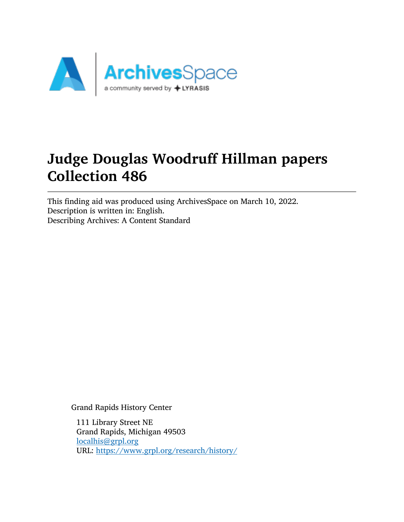

# Judge Douglas Woodruff Hillman papers Collection 486

This finding aid was produced using ArchivesSpace on March 10, 2022. Description is written in: English. Describing Archives: A Content Standard

Grand Rapids History Center

111 Library Street NE Grand Rapids, Michigan 49503 [localhis@grpl.org](mailto:localhis@grpl.org) URL: <https://www.grpl.org/research/history/>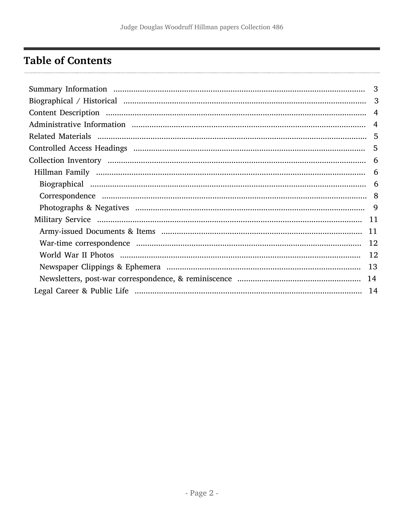# <span id="page-1-0"></span>**Table of Contents**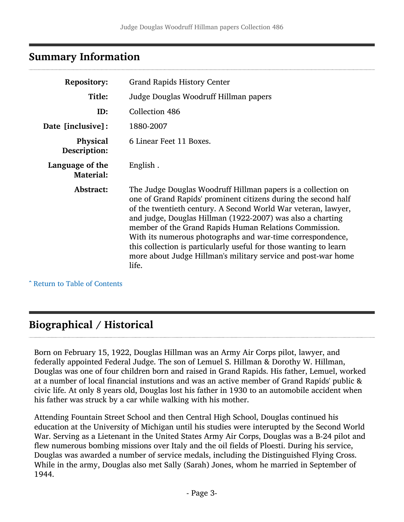# <span id="page-2-0"></span>Summary Information

| <b>Repository:</b>                  | <b>Grand Rapids History Center</b>                                                                                                                                                                                                                                                                                                                                                                                                                                                                                                   |  |
|-------------------------------------|--------------------------------------------------------------------------------------------------------------------------------------------------------------------------------------------------------------------------------------------------------------------------------------------------------------------------------------------------------------------------------------------------------------------------------------------------------------------------------------------------------------------------------------|--|
| Title:                              | Judge Douglas Woodruff Hillman papers                                                                                                                                                                                                                                                                                                                                                                                                                                                                                                |  |
| ID:                                 | Collection 486                                                                                                                                                                                                                                                                                                                                                                                                                                                                                                                       |  |
| Date [inclusive]:                   | 1880-2007                                                                                                                                                                                                                                                                                                                                                                                                                                                                                                                            |  |
| <b>Physical</b><br>Description:     | 6 Linear Feet 11 Boxes.                                                                                                                                                                                                                                                                                                                                                                                                                                                                                                              |  |
| Language of the<br><b>Material:</b> | English.                                                                                                                                                                                                                                                                                                                                                                                                                                                                                                                             |  |
| Abstract:                           | The Judge Douglas Woodruff Hillman papers is a collection on<br>one of Grand Rapids' prominent citizens during the second half<br>of the twentieth century. A Second World War veteran, lawyer,<br>and judge, Douglas Hillman (1922-2007) was also a charting<br>member of the Grand Rapids Human Relations Commission.<br>With its numerous photographs and war-time correspondence,<br>this collection is particularly useful for those wanting to learn<br>more about Judge Hillman's military service and post-war home<br>life. |  |

^ [Return to Table of Contents](#page-1-0)

# <span id="page-2-1"></span>Biographical / Historical

Born on February 15, 1922, Douglas Hillman was an Army Air Corps pilot, lawyer, and federally appointed Federal Judge. The son of Lemuel S. Hillman & Dorothy W. Hillman, Douglas was one of four children born and raised in Grand Rapids. His father, Lemuel, worked at a number of local financial instutions and was an active member of Grand Rapids' public & civic life. At only 8 years old, Douglas lost his father in 1930 to an automobile accident when his father was struck by a car while walking with his mother.

Attending Fountain Street School and then Central High School, Douglas continued his education at the University of Michigan until his studies were interupted by the Second World War. Serving as a Lietenant in the United States Army Air Corps, Douglas was a B-24 pilot and flew numerous bombing missions over Italy and the oil fields of Ploesti. During his service, Douglas was awarded a number of service medals, including the Distinguished Flying Cross. While in the army, Douglas also met Sally (Sarah) Jones, whom he married in September of 1944.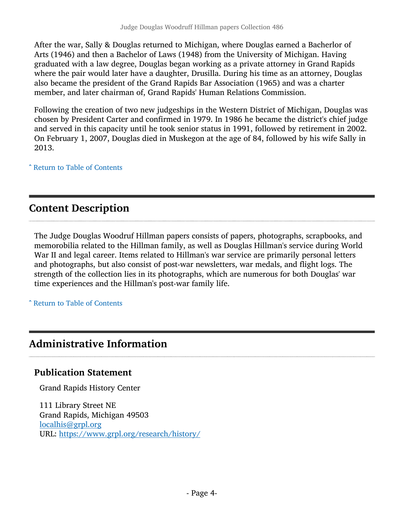After the war, Sally & Douglas returned to Michigan, where Douglas earned a Bacherlor of Arts (1946) and then a Bachelor of Laws (1948) from the University of Michigan. Having graduated with a law degree, Douglas began working as a private attorney in Grand Rapids where the pair would later have a daughter, Drusilla. During his time as an attorney, Douglas also became the president of the Grand Rapids Bar Association (1965) and was a charter member, and later chairman of, Grand Rapids' Human Relations Commission.

Following the creation of two new judgeships in the Western District of Michigan, Douglas was chosen by President Carter and confirmed in 1979. In 1986 he became the district's chief judge and served in this capacity until he took senior status in 1991, followed by retirement in 2002. On February 1, 2007, Douglas died in Muskegon at the age of 84, followed by his wife Sally in 2013.

^ [Return to Table of Contents](#page-1-0)

# <span id="page-3-0"></span>Content Description

The Judge Douglas Woodruf Hillman papers consists of papers, photographs, scrapbooks, and memorobilia related to the Hillman family, as well as Douglas Hillman's service during World War II and legal career. Items related to Hillman's war service are primarily personal letters and photographs, but also consist of post-war newsletters, war medals, and flight logs. The strength of the collection lies in its photographs, which are numerous for both Douglas' war time experiences and the Hillman's post-war family life.

^ [Return to Table of Contents](#page-1-0)

# <span id="page-3-1"></span>Administrative Information

## Publication Statement

Grand Rapids History Center

111 Library Street NE Grand Rapids, Michigan 49503 [localhis@grpl.org](mailto:localhis@grpl.org) URL: <https://www.grpl.org/research/history/>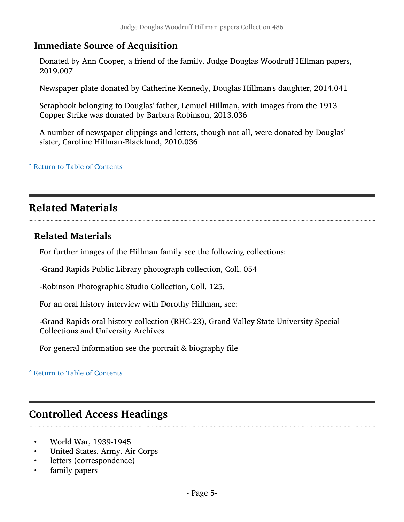## Immediate Source of Acquisition

Donated by Ann Cooper, a friend of the family. Judge Douglas Woodruff Hillman papers, 2019.007

Newspaper plate donated by Catherine Kennedy, Douglas Hillman's daughter, 2014.041

Scrapbook belonging to Douglas' father, Lemuel Hillman, with images from the 1913 Copper Strike was donated by Barbara Robinson, 2013.036

A number of newspaper clippings and letters, though not all, were donated by Douglas' sister, Caroline Hillman-Blacklund, 2010.036

^ [Return to Table of Contents](#page-1-0)

## <span id="page-4-0"></span>Related Materials

## Related Materials

For further images of the Hillman family see the following collections:

-Grand Rapids Public Library photograph collection, Coll. 054

-Robinson Photographic Studio Collection, Coll. 125.

For an oral history interview with Dorothy Hillman, see:

-Grand Rapids oral history collection (RHC-23), Grand Valley State University Special Collections and University Archives

For general information see the portrait & biography file

### ^ [Return to Table of Contents](#page-1-0)

## <span id="page-4-1"></span>Controlled Access Headings

- World War, 1939-1945
- United States. Army. Air Corps
- letters (correspondence)
- family papers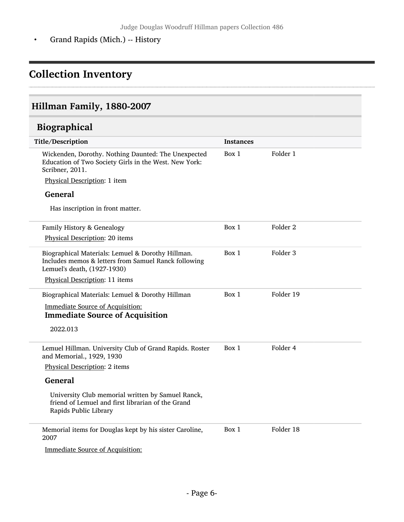• Grand Rapids (Mich.) -- History

# <span id="page-5-0"></span>Collection Inventory

# <span id="page-5-1"></span>Hillman Family, 1880-2007

# <span id="page-5-2"></span>Biographical

| Title/Description                                                                                                                        | <b>Instances</b> |                     |
|------------------------------------------------------------------------------------------------------------------------------------------|------------------|---------------------|
| Wickenden, Dorothy. Nothing Daunted: The Unexpected<br>Education of Two Society Girls in the West. New York:<br>Scribner, 2011.          | Box 1            | Folder 1            |
| Physical Description: 1 item                                                                                                             |                  |                     |
| <b>General</b>                                                                                                                           |                  |                     |
| Has inscription in front matter.                                                                                                         |                  |                     |
| Family History & Genealogy                                                                                                               | Box 1            | Folder <sub>2</sub> |
| Physical Description: 20 items                                                                                                           |                  |                     |
| Biographical Materials: Lemuel & Dorothy Hillman.<br>Includes memos & letters from Samuel Ranck following<br>Lemuel's death, (1927-1930) | Box 1            | Folder 3            |
| Physical Description: 11 items                                                                                                           |                  |                     |
| Biographical Materials: Lemuel & Dorothy Hillman                                                                                         | Box 1            | Folder 19           |
| <b>Immediate Source of Acquisition:</b><br><b>Immediate Source of Acquisition</b>                                                        |                  |                     |
| 2022.013                                                                                                                                 |                  |                     |
| Lemuel Hillman. University Club of Grand Rapids. Roster<br>and Memorial., 1929, 1930                                                     | Box 1            | Folder 4            |
| Physical Description: 2 items                                                                                                            |                  |                     |
| <b>General</b>                                                                                                                           |                  |                     |
| University Club memorial written by Samuel Ranck,<br>friend of Lemuel and first librarian of the Grand<br>Rapids Public Library          |                  |                     |
| Memorial items for Douglas kept by his sister Caroline,<br>2007                                                                          | Box 1            | Folder 18           |
| <b>Immediate Source of Acquisition:</b>                                                                                                  |                  |                     |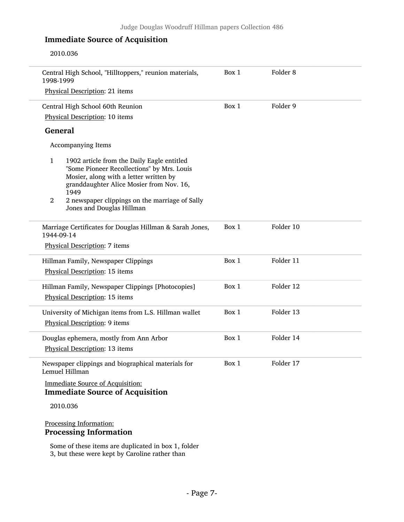## Immediate Source of Acquisition

2010.036

| Central High School, "Hilltoppers," reunion materials,<br>1998-1999                                                                                                                                                                                                                                     | Box 1 | Folder <sub>8</sub> |  |
|---------------------------------------------------------------------------------------------------------------------------------------------------------------------------------------------------------------------------------------------------------------------------------------------------------|-------|---------------------|--|
| Physical Description: 21 items                                                                                                                                                                                                                                                                          |       |                     |  |
| Central High School 60th Reunion                                                                                                                                                                                                                                                                        | Box 1 | Folder 9            |  |
| Physical Description: 10 items                                                                                                                                                                                                                                                                          |       |                     |  |
| <b>General</b>                                                                                                                                                                                                                                                                                          |       |                     |  |
| Accompanying Items                                                                                                                                                                                                                                                                                      |       |                     |  |
| $\mathbf{1}$<br>1902 article from the Daily Eagle entitled<br>"Some Pioneer Recollections" by Mrs. Louis<br>Mosier, along with a letter written by<br>granddaughter Alice Mosier from Nov. 16,<br>1949<br>$\overline{2}$<br>2 newspaper clippings on the marriage of Sally<br>Jones and Douglas Hillman |       |                     |  |
| Marriage Certificates for Douglas Hillman & Sarah Jones,<br>1944-09-14                                                                                                                                                                                                                                  | Box 1 | Folder 10           |  |
| Physical Description: 7 items                                                                                                                                                                                                                                                                           |       |                     |  |
| Hillman Family, Newspaper Clippings                                                                                                                                                                                                                                                                     | Box 1 | Folder 11           |  |
| Physical Description: 15 items                                                                                                                                                                                                                                                                          |       |                     |  |
| Hillman Family, Newspaper Clippings [Photocopies]                                                                                                                                                                                                                                                       | Box 1 | Folder 12           |  |
| Physical Description: 15 items                                                                                                                                                                                                                                                                          |       |                     |  |
| University of Michigan items from L.S. Hillman wallet<br>Physical Description: 9 items                                                                                                                                                                                                                  | Box 1 | Folder 13           |  |
| Douglas ephemera, mostly from Ann Arbor<br>Physical Description: 13 items                                                                                                                                                                                                                               | Box 1 | Folder 14           |  |
| Newspaper clippings and biographical materials for<br>Lemuel Hillman                                                                                                                                                                                                                                    | Box 1 | Folder 17           |  |
| <b>Immediate Source of Acquisition:</b><br><b>Immediate Source of Acquisition</b>                                                                                                                                                                                                                       |       |                     |  |
| 2010.036                                                                                                                                                                                                                                                                                                |       |                     |  |
| Processing Information:                                                                                                                                                                                                                                                                                 |       |                     |  |

Some of these items are duplicated in box 1, folder 3, but these were kept by Caroline rather than

Processing Information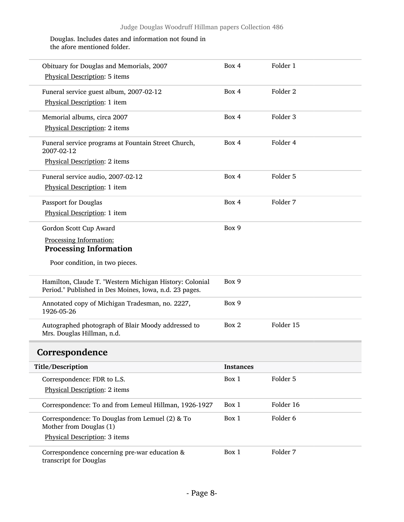### Douglas. Includes dates and information not found in the afore mentioned folder.

<span id="page-7-0"></span>

| Obituary for Douglas and Memorials, 2007<br>Physical Description: 5 items                                         | Box 4            | Folder 1            |
|-------------------------------------------------------------------------------------------------------------------|------------------|---------------------|
| Funeral service guest album, 2007-02-12                                                                           | Box 4            | Folder <sub>2</sub> |
| Physical Description: 1 item                                                                                      |                  |                     |
| Memorial albums, circa 2007                                                                                       | Box 4            | Folder 3            |
| Physical Description: 2 items                                                                                     |                  |                     |
| Funeral service programs at Fountain Street Church,<br>2007-02-12                                                 | Box 4            | Folder 4            |
| Physical Description: 2 items                                                                                     |                  |                     |
| Funeral service audio, 2007-02-12                                                                                 | Box 4            | Folder 5            |
| Physical Description: 1 item                                                                                      |                  |                     |
| Passport for Douglas                                                                                              | Box 4            | Folder 7            |
| Physical Description: 1 item                                                                                      |                  |                     |
| Gordon Scott Cup Award                                                                                            | Box 9            |                     |
| Processing Information:                                                                                           |                  |                     |
| <b>Processing Information</b>                                                                                     |                  |                     |
| Poor condition, in two pieces.                                                                                    |                  |                     |
| Hamilton, Claude T. "Western Michigan History: Colonial<br>Period." Published in Des Moines, Iowa, n.d. 23 pages. | Box 9            |                     |
| Annotated copy of Michigan Tradesman, no. 2227,<br>1926-05-26                                                     | Box 9            |                     |
| Autographed photograph of Blair Moody addressed to<br>Mrs. Douglas Hillman, n.d.                                  | Box 2            | Folder 15           |
| Correspondence                                                                                                    |                  |                     |
| Title/Description                                                                                                 | <b>Instances</b> |                     |
| Correspondence: FDR to L.S.                                                                                       | Box 1            | Folder 5            |
| Physical Description: 2 items                                                                                     |                  |                     |
| Correspondence: To and from Lemeul Hillman, 1926-1927                                                             | Box 1            | Folder 16           |
| Correspondence: To Douglas from Lemuel (2) & To<br>Mother from Douglas (1)                                        | Box 1            | Folder 6            |
| Physical Description: 3 items                                                                                     |                  |                     |
| Correspondence concerning pre-war education &<br>transcript for Douglas                                           | Box 1            | Folder 7            |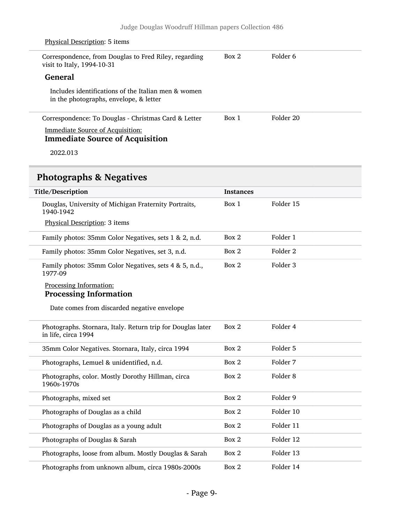| Physical Description: 5 items                                                                 |       |           |  |
|-----------------------------------------------------------------------------------------------|-------|-----------|--|
| Correspondence, from Douglas to Fred Riley, regarding<br>visit to Italy, 1994-10-31           | Box 2 | Folder 6  |  |
| General                                                                                       |       |           |  |
| Includes identifications of the Italian men & women<br>in the photographs, envelope, & letter |       |           |  |
| Correspondence: To Douglas - Christmas Card & Letter                                          | Box 1 | Folder 20 |  |
| <b>Immediate Source of Acquisition:</b><br><b>Immediate Source of Acquisition</b>             |       |           |  |
|                                                                                               |       |           |  |

2022.013

# <span id="page-8-0"></span>Photographs & Negatives

| Title/Description                                                                  | <b>Instances</b> |                     |  |
|------------------------------------------------------------------------------------|------------------|---------------------|--|
| Douglas, University of Michigan Fraternity Portraits,<br>1940-1942                 | Box 1            | Folder 15           |  |
| Physical Description: 3 items                                                      |                  |                     |  |
| Family photos: 35mm Color Negatives, sets 1 & 2, n.d.                              | Box 2            | Folder 1            |  |
| Family photos: 35mm Color Negatives, set 3, n.d.                                   | Box 2            | Folder <sub>2</sub> |  |
| Family photos: 35mm Color Negatives, sets 4 & 5, n.d.,<br>1977-09                  | Box 2            | Folder 3            |  |
| Processing Information:                                                            |                  |                     |  |
| <b>Processing Information</b>                                                      |                  |                     |  |
| Date comes from discarded negative envelope                                        |                  |                     |  |
| Photographs. Stornara, Italy. Return trip for Douglas later<br>in life, circa 1994 | Box 2            | Folder 4            |  |
| 35mm Color Negatives. Stornara, Italy, circa 1994                                  | Box 2            | Folder 5            |  |
| Photographs, Lemuel & unidentified, n.d.                                           | Box 2            | Folder 7            |  |
| Photographs, color. Mostly Dorothy Hillman, circa<br>1960s-1970s                   | Box 2            | Folder <sub>8</sub> |  |
| Photographs, mixed set                                                             | Box 2            | Folder 9            |  |
| Photographs of Douglas as a child                                                  | Box 2            | Folder 10           |  |
| Photographs of Douglas as a young adult                                            | Box 2            | Folder 11           |  |
| Photographs of Douglas & Sarah                                                     | Box 2            | Folder 12           |  |
| Photographs, loose from album. Mostly Douglas & Sarah                              | Box 2            | Folder 13           |  |
| Photographs from unknown album, circa 1980s-2000s                                  | Box 2            | Folder 14           |  |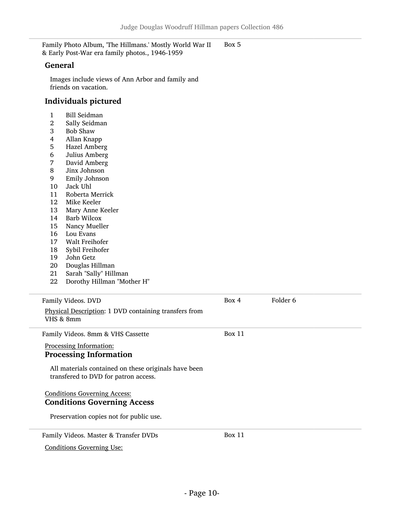Family Photo Album, 'The Hillmans.' Mostly World War II & Early Post-War era family photos., 1946-1959 Box 5

#### General

Images include views of Ann Arbor and family and friends on vacation.

### Individuals pictured

- 1 Bill Seidman<br>2 Sally Seidma
- 2 Sally Seidman<br>3 Bob Shaw
- 3 Bob Shaw
- 4 Allan Knapp
- 5 Hazel Amberg<br>6 Julius Amberg
- 6 Julius Amberg
- 7 David Amberg
- 8 Jinx Johnson
- 9 Emily Johnson
- 10 Jack Uhl<br>11 Roberta M
- 11 Roberta Merrick<br>12 Mike Keeler
- 12 Mike Keeler<br>13 Mary Anne F
- 13 Mary Anne Keeler<br>14 Barb Wilcox
- 14 Barb Wilcox<br>15 Nancy Muell
- 15 Nancy Mueller<br>16 Lou Evans
- 16 Lou Evans<br>17 Walt Freih
- 17 Walt Freihofer<br>18 Sybil Freihofer
- 18 Sybil Freihofer
- 19 John Getz<br>20 Douglas Hi
- 20 Douglas Hillman<br>21 Sarah "Sally" Hill
- Sarah "Sally" Hillman
- 22 Dorothy Hillman "Mother H"

| Family Videos. DVD                                                                           | Box 4         | Folder 6 |
|----------------------------------------------------------------------------------------------|---------------|----------|
| Physical Description: 1 DVD containing transfers from<br>VHS & 8mm                           |               |          |
| Family Videos. 8mm & VHS Cassette                                                            | Box 11        |          |
| Processing Information:<br><b>Processing Information</b>                                     |               |          |
| All materials contained on these originals have been<br>transfered to DVD for patron access. |               |          |
| <b>Conditions Governing Access:</b>                                                          |               |          |
| <b>Conditions Governing Access</b>                                                           |               |          |
| Preservation copies not for public use.                                                      |               |          |
| Family Videos. Master & Transfer DVDs                                                        | <b>Box 11</b> |          |
| <b>Conditions Governing Use:</b>                                                             |               |          |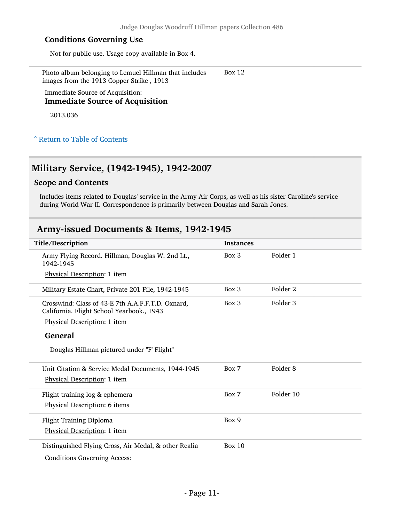### Conditions Governing Use

Not for public use. Usage copy available in Box 4.

Photo album belonging to Lemuel Hillman that includes images from the 1913 Copper Strike , 1913 Box 12

Immediate Source of Acquisition: Immediate Source of Acquisition

2013.036

### ^ [Return to Table of Contents](#page-1-0)

### <span id="page-10-0"></span>Military Service, (1942-1945), 1942-2007

### Scope and Contents

Includes items related to Douglas' service in the Army Air Corps, as well as his sister Caroline's service during World War II. Correspondence is primarily between Douglas and Sarah Jones.

## <span id="page-10-1"></span>Army-issued Documents & Items, 1942-1945

| Title/Description                                                                              | <b>Instances</b> |           |
|------------------------------------------------------------------------------------------------|------------------|-----------|
| Army Flying Record. Hillman, Douglas W. 2nd Lt.,<br>1942-1945                                  | Box 3            | Folder 1  |
| Physical Description: 1 item                                                                   |                  |           |
| Military Estate Chart, Private 201 File, 1942-1945                                             | Box 3            | Folder 2  |
| Crosswind: Class of 43-E 7th A.A.F.F.T.D. Oxnard,<br>California. Flight School Yearbook., 1943 | Box 3            | Folder 3  |
| Physical Description: 1 item                                                                   |                  |           |
| <b>General</b>                                                                                 |                  |           |
| Douglas Hillman pictured under "F' Flight"                                                     |                  |           |
| Unit Citation & Service Medal Documents, 1944-1945                                             | Box 7            | Folder 8  |
| Physical Description: 1 item                                                                   |                  |           |
| Flight training log & ephemera                                                                 | Box 7            | Folder 10 |
| Physical Description: 6 items                                                                  |                  |           |
| Flight Training Diploma                                                                        | Box 9            |           |
| Physical Description: 1 item                                                                   |                  |           |
| Distinguished Flying Cross, Air Medal, & other Realia                                          | Box $10$         |           |
| <b>Conditions Governing Access:</b>                                                            |                  |           |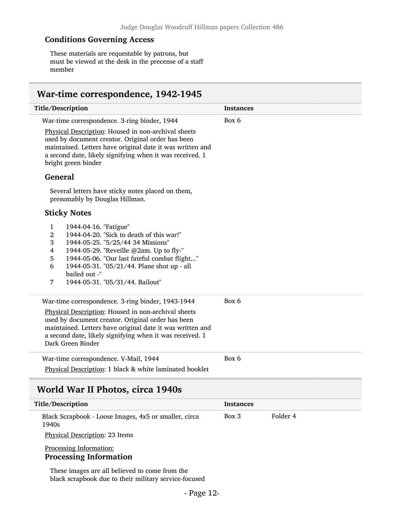### Conditions Governing Access

These materials are requestable by patrons, but must be viewed at the desk in the precense of a staff member

## <span id="page-11-0"></span>War-time correspondence, 1942-1945

| Title/Description                                                                                                                                                                                                                                                                                                                                                                                                                                                                                                                                                                                                                                                                                   | <b>Instances</b>  |
|-----------------------------------------------------------------------------------------------------------------------------------------------------------------------------------------------------------------------------------------------------------------------------------------------------------------------------------------------------------------------------------------------------------------------------------------------------------------------------------------------------------------------------------------------------------------------------------------------------------------------------------------------------------------------------------------------------|-------------------|
| War-time correspondence. 3-ring binder, 1944<br>Physical Description: Housed in non-archival sheets                                                                                                                                                                                                                                                                                                                                                                                                                                                                                                                                                                                                 | Box 6             |
| used by document creator. Original order has been<br>maintained. Letters have original date it was written and<br>a second date, likely signifying when it was received. 1<br>bright green binder                                                                                                                                                                                                                                                                                                                                                                                                                                                                                                   |                   |
| <b>General</b>                                                                                                                                                                                                                                                                                                                                                                                                                                                                                                                                                                                                                                                                                      |                   |
| Several letters have sticky notes placed on them,<br>presumably by Douglas Hillman.                                                                                                                                                                                                                                                                                                                                                                                                                                                                                                                                                                                                                 |                   |
| <b>Sticky Notes</b>                                                                                                                                                                                                                                                                                                                                                                                                                                                                                                                                                                                                                                                                                 |                   |
| $\mathbf{1}$<br>1944-04-16. "Fatigue"<br>2<br>1944-04-20. "Sick to death of this war!"<br>3<br>1944-05-25. "5/25/44 34 Missions"<br>$\overline{\mathbf{4}}$<br>1944-05-29. "Reveille @2am. Up to fly-"<br>1944-05-06. "Our last fateful combat flight"<br>5<br>6<br>1944-05-31. "05/21/44. Plane shot up - all<br>bailed out -"<br>$\overline{7}$<br>1944-05-31. "05/31/44. Bailout"<br>War-time correspondence. 3-ring binder, 1943-1944<br>Physical Description: Housed in non-archival sheets<br>used by document creator. Original order has been<br>maintained. Letters have original date it was written and<br>a second date, likely signifying when it was received. 1<br>Dark Green Binder | Box 6             |
| War-time correspondence. V-Mail, 1944                                                                                                                                                                                                                                                                                                                                                                                                                                                                                                                                                                                                                                                               | Box 6             |
| Physical Description: 1 black & white laminated booklet                                                                                                                                                                                                                                                                                                                                                                                                                                                                                                                                                                                                                                             |                   |
| World War II Photos, circa 1940s                                                                                                                                                                                                                                                                                                                                                                                                                                                                                                                                                                                                                                                                    |                   |
| Title/Description                                                                                                                                                                                                                                                                                                                                                                                                                                                                                                                                                                                                                                                                                   | <b>Instances</b>  |
| Black Scrapbook - Loose Images, 4x5 or smaller, circa<br>1940s                                                                                                                                                                                                                                                                                                                                                                                                                                                                                                                                                                                                                                      | Folder 4<br>Box 3 |
| Physical Description: 23 Items                                                                                                                                                                                                                                                                                                                                                                                                                                                                                                                                                                                                                                                                      |                   |

### <span id="page-11-1"></span>Processing Information: Processing Information

These images are all believed to come from the black scrapbook due to their military service-focused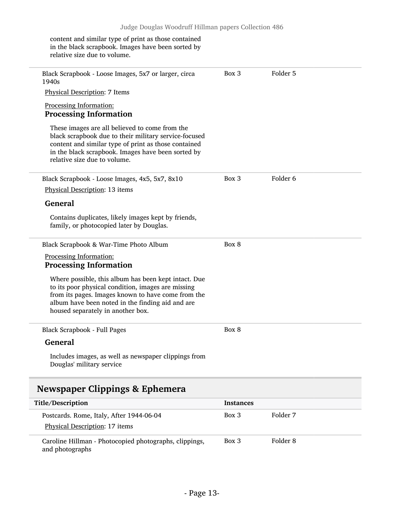content and similar type of print as those contained in the black scrapbook. Images have been sorted by relative size due to volume.

Black Scrapbook - Loose Images, 5x7 or larger, circa 1940s Physical Description: 7 Items Processing Information: Processing Information These images are all believed to come from the black scrapbook due to their military service-focused content and similar type of print as those contained in the black scrapbook. Images have been sorted by relative size due to volume. Box 3 Folder 5 Black Scrapbook - Loose Images, 4x5, 5x7, 8x10 Physical Description: 13 items General Contains duplicates, likely images kept by friends, family, or photocopied later by Douglas. Box 3 Folder 6 Black Scrapbook & War-Time Photo Album Processing Information: Processing Information Where possible, this album has been kept intact. Due to its poor physical condition, images are missing from its pages. Images known to have come from the album have been noted in the finding aid and are housed separately in another box. Box 8 Black Scrapbook - Full Pages General Includes images, as well as newspaper clippings from Douglas' military service Box 8 Newspaper Clippings & Ephemera Title/Description Instances Postcards. Rome, Italy, After 1944-06-04 Physical Description: 17 items Box 3 Folder 7

<span id="page-12-0"></span>Caroline Hillman - Photocopied photographs, clippings, and photographs Box 3 Folder 8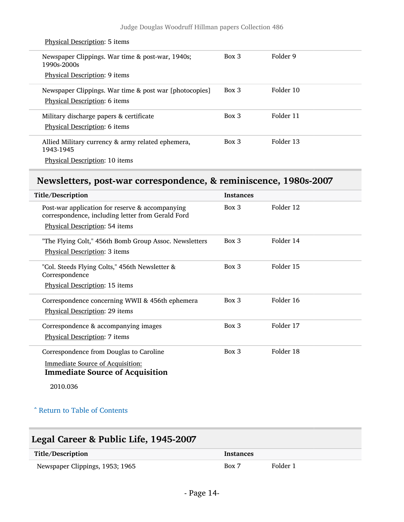| <b>Physical Description: 5 items</b>                            |          |           |
|-----------------------------------------------------------------|----------|-----------|
| Newspaper Clippings. War time & post-war, 1940s;<br>1990s-2000s | Box 3    | Folder 9  |
| <b>Physical Description: 9 items</b>                            |          |           |
| Newspaper Clippings. War time & post war [photocopies]          | $Box$ 3  | Folder 10 |
| Physical Description: 6 items                                   |          |           |
| Military discharge papers & certificate                         | Box 3    | Folder 11 |
| Physical Description: 6 items                                   |          |           |
| Allied Military currency & army related ephemera,<br>1943-1945  | $Box\ 3$ | Folder 13 |
| Physical Description: 10 items                                  |          |           |

# <span id="page-13-0"></span>Newsletters, post-war correspondence, & reminiscence, 1980s-2007

| Title/Description                                                                                                                        | <b>Instances</b> |           |
|------------------------------------------------------------------------------------------------------------------------------------------|------------------|-----------|
| Post-war application for reserve & accompanying<br>correspondence, including letter from Gerald Ford<br>Physical Description: 54 items   | $Box\ 3$         | Folder 12 |
| "The Flying Colt," 456th Bomb Group Assoc. Newsletters<br><b>Physical Description: 3 items</b>                                           | $Box\ 3$         | Folder 14 |
| "Col. Steeds Flying Colts," 456th Newsletter &<br>Correspondence<br>Physical Description: 15 items                                       | $Box\ 3$         | Folder 15 |
| Correspondence concerning WWII & 456th ephemera<br>Physical Description: 29 items                                                        | $Box\ 3$         | Folder 16 |
| Correspondence & accompanying images<br>Physical Description: 7 items                                                                    | Box 3            | Folder 17 |
| Correspondence from Douglas to Caroline<br><b>Immediate Source of Acquisition:</b><br><b>Immediate Source of Acquisition</b><br>2010.036 | $Box$ 3          | Folder 18 |

### ^ [Return to Table of Contents](#page-1-0)

# <span id="page-13-1"></span>Legal Career & Public Life, 1945-2007

| Title/Description               | <b>Instances</b> |          |
|---------------------------------|------------------|----------|
| Newspaper Clippings, 1953; 1965 | Box 7            | Folder 1 |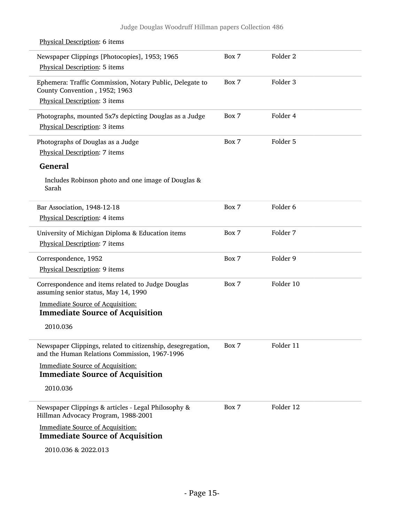| Newspaper Clippings [Photocopies], 1953; 1965<br>Physical Description: 5 items                               | Box 7 | Folder 2            |  |
|--------------------------------------------------------------------------------------------------------------|-------|---------------------|--|
| Ephemera: Traffic Commission, Notary Public, Delegate to<br>County Convention, 1952; 1963                    | Box 7 | Folder <sub>3</sub> |  |
| Physical Description: 3 items                                                                                |       |                     |  |
| Photographs, mounted 5x7s depicting Douglas as a Judge                                                       | Box 7 | Folder 4            |  |
| Physical Description: 3 items                                                                                |       |                     |  |
| Photographs of Douglas as a Judge                                                                            | Box 7 | Folder 5            |  |
| Physical Description: 7 items                                                                                |       |                     |  |
| <b>General</b>                                                                                               |       |                     |  |
| Includes Robinson photo and one image of Douglas &<br>Sarah                                                  |       |                     |  |
| Bar Association, 1948-12-18                                                                                  | Box 7 | Folder <sub>6</sub> |  |
| Physical Description: 4 items                                                                                |       |                     |  |
| University of Michigan Diploma & Education items                                                             | Box 7 | Folder 7            |  |
| Physical Description: 7 items                                                                                |       |                     |  |
| Correspondence, 1952                                                                                         | Box 7 | Folder 9            |  |
| Physical Description: 9 items                                                                                |       |                     |  |
| Correspondence and items related to Judge Douglas<br>assuming senior status, May 14, 1990                    | Box 7 | Folder 10           |  |
| <b>Immediate Source of Acquisition:</b><br><b>Immediate Source of Acquisition</b>                            |       |                     |  |
| 2010.036                                                                                                     |       |                     |  |
| Newspaper Clippings, related to citizenship, desegregation,<br>and the Human Relations Commission, 1967-1996 | Box 7 | Folder 11           |  |
| <b>Immediate Source of Acquisition:</b><br><b>Immediate Source of Acquisition</b>                            |       |                     |  |
| 2010.036                                                                                                     |       |                     |  |
| Newspaper Clippings & articles - Legal Philosophy &<br>Hillman Advocacy Program, 1988-2001                   | Box 7 | Folder 12           |  |
| <b>Immediate Source of Acquisition:</b><br><b>Immediate Source of Acquisition</b>                            |       |                     |  |
|                                                                                                              |       |                     |  |
| 2010.036 & 2022.013                                                                                          |       |                     |  |